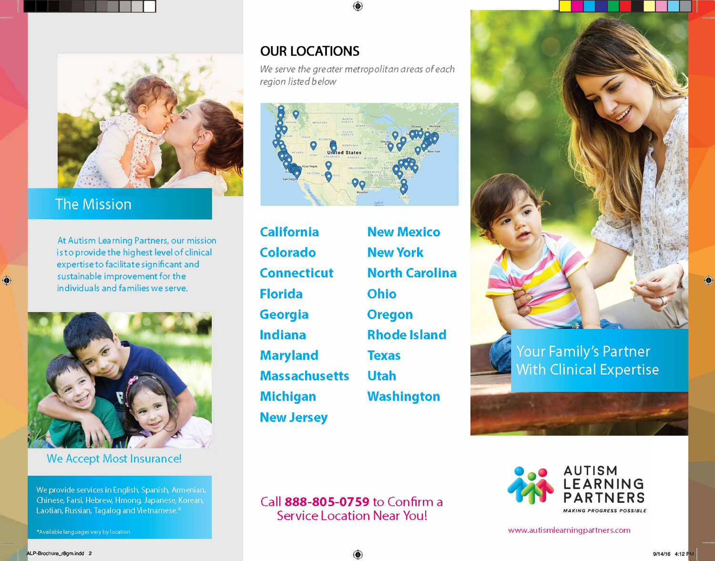

# **The Mission**

At Autism Learning Partners, our mission is to provide the highest level of clinical expertise to facilitate significant and sustainable improvement for the individuals and families we serve.



### We Accept Most Insurance!

We provide services in English, Spanish, Armenian, Chinese, Farsi, Hebrew, Hmong, Japanese, Korean, Laotian, Russian, Tagalog and Vietnamese.\*

## **OUR LOCATIONS**

*We serve the greater metropolitan areas of each region listed below* 



**California New Mexico Colorado NewYork Connecticut North Carolina Florida Ohio Georgia Oregon Indiana Rhode Island Maryland Texas Massachusetts Utah Michigan Washington New Jersey** 



Your Family's Partner **With Clinical Expertise** 



www.autismlearningpartners.com

Call **888-805-0759** to Confirm a Service Location Near You!